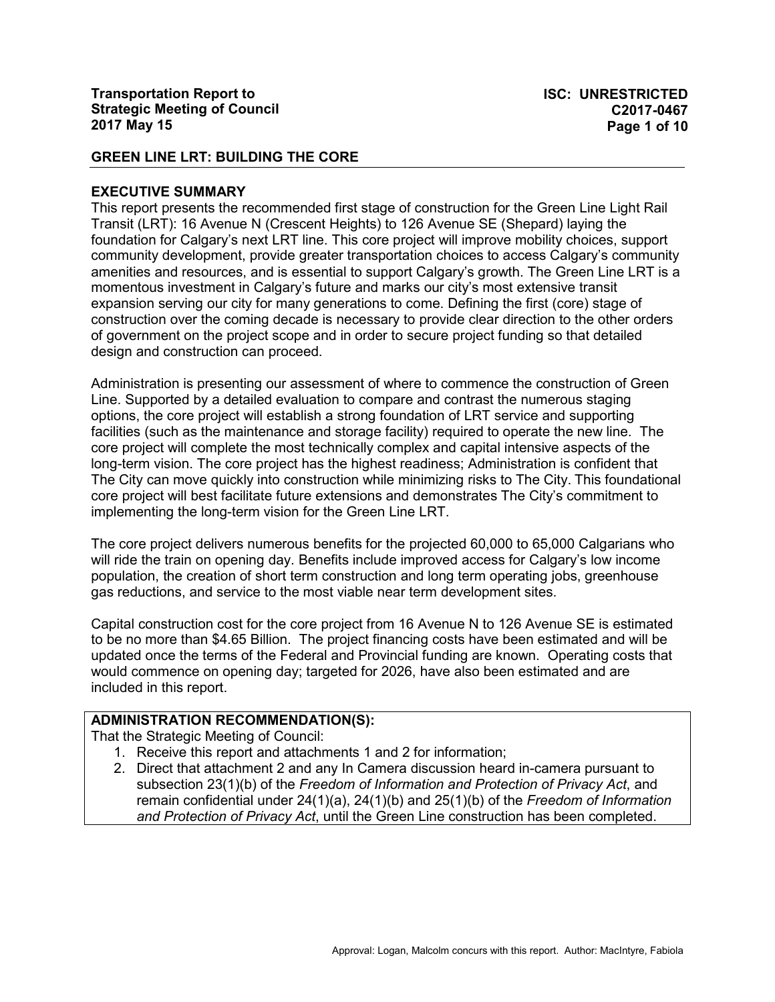#### **EXECUTIVE SUMMARY**

This report presents the recommended first stage of construction for the Green Line Light Rail Transit (LRT): 16 Avenue N (Crescent Heights) to 126 Avenue SE (Shepard) laying the foundation for Calgary's next LRT line. This core project will improve mobility choices, support community development, provide greater transportation choices to access Calgary's community amenities and resources, and is essential to support Calgary's growth. The Green Line LRT is a momentous investment in Calgary's future and marks our city's most extensive transit expansion serving our city for many generations to come. Defining the first (core) stage of construction over the coming decade is necessary to provide clear direction to the other orders of government on the project scope and in order to secure project funding so that detailed design and construction can proceed.

Administration is presenting our assessment of where to commence the construction of Green Line. Supported by a detailed evaluation to compare and contrast the numerous staging options, the core project will establish a strong foundation of LRT service and supporting facilities (such as the maintenance and storage facility) required to operate the new line. The core project will complete the most technically complex and capital intensive aspects of the long-term vision. The core project has the highest readiness; Administration is confident that The City can move quickly into construction while minimizing risks to The City. This foundational core project will best facilitate future extensions and demonstrates The City's commitment to implementing the long-term vision for the Green Line LRT.

The core project delivers numerous benefits for the projected 60,000 to 65,000 Calgarians who will ride the train on opening day. Benefits include improved access for Calgary's low income population, the creation of short term construction and long term operating jobs, greenhouse gas reductions, and service to the most viable near term development sites.

Capital construction cost for the core project from 16 Avenue N to 126 Avenue SE is estimated to be no more than \$4.65 Billion. The project financing costs have been estimated and will be updated once the terms of the Federal and Provincial funding are known. Operating costs that would commence on opening day; targeted for 2026, have also been estimated and are included in this report.

# **ADMINISTRATION RECOMMENDATION(S):**

That the Strategic Meeting of Council:

- 1. Receive this report and attachments 1 and 2 for information;
- 2. Direct that attachment 2 and any In Camera discussion heard in-camera pursuant to subsection 23(1)(b) of the *Freedom of Information and Protection of Privacy Act*, and remain confidential under 24(1)(a), 24(1)(b) and 25(1)(b) of the *Freedom of Information and Protection of Privacy Act*, until the Green Line construction has been completed.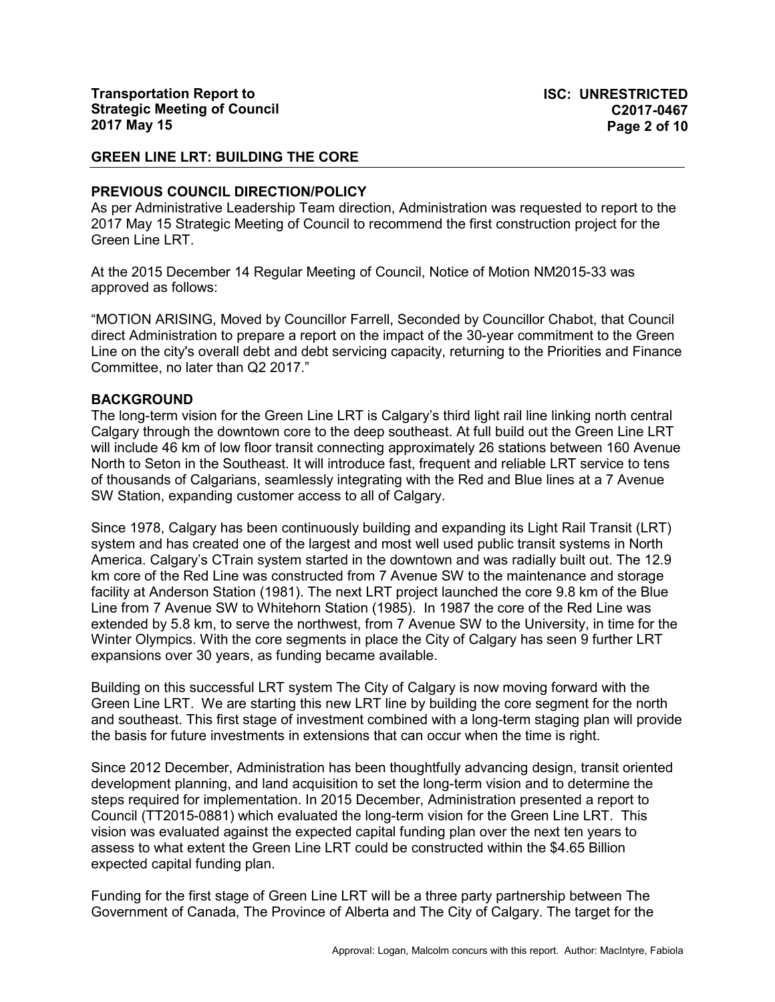#### **PREVIOUS COUNCIL DIRECTION/POLICY**

As per Administrative Leadership Team direction, Administration was requested to report to the 2017 May 15 Strategic Meeting of Council to recommend the first construction project for the Green Line LRT.

At the 2015 December 14 Regular Meeting of Council, Notice of Motion NM2015-33 was approved as follows:

"MOTION ARISING, Moved by Councillor Farrell, Seconded by Councillor Chabot, that Council direct Administration to prepare a report on the impact of the 30-year commitment to the Green Line on the city's overall debt and debt servicing capacity, returning to the Priorities and Finance Committee, no later than Q2 2017."

#### **BACKGROUND**

The long-term vision for the Green Line LRT is Calgary's third light rail line linking north central Calgary through the downtown core to the deep southeast. At full build out the Green Line LRT will include 46 km of low floor transit connecting approximately 26 stations between 160 Avenue North to Seton in the Southeast. It will introduce fast, frequent and reliable LRT service to tens of thousands of Calgarians, seamlessly integrating with the Red and Blue lines at a 7 Avenue SW Station, expanding customer access to all of Calgary.

Since 1978, Calgary has been continuously building and expanding its Light Rail Transit (LRT) system and has created one of the largest and most well used public transit systems in North America. Calgary's CTrain system started in the downtown and was radially built out. The 12.9 km core of the Red Line was constructed from 7 Avenue SW to the maintenance and storage facility at Anderson Station (1981). The next LRT project launched the core 9.8 km of the Blue Line from 7 Avenue SW to Whitehorn Station (1985). In 1987 the core of the Red Line was extended by 5.8 km, to serve the northwest, from 7 Avenue SW to the University, in time for the Winter Olympics. With the core segments in place the City of Calgary has seen 9 further LRT expansions over 30 years, as funding became available.

Building on this successful LRT system The City of Calgary is now moving forward with the Green Line LRT. We are starting this new LRT line by building the core segment for the north and southeast. This first stage of investment combined with a long-term staging plan will provide the basis for future investments in extensions that can occur when the time is right.

Since 2012 December, Administration has been thoughtfully advancing design, transit oriented development planning, and land acquisition to set the long-term vision and to determine the steps required for implementation. In 2015 December, Administration presented a report to Council (TT2015-0881) which evaluated the long-term vision for the Green Line LRT. This vision was evaluated against the expected capital funding plan over the next ten years to assess to what extent the Green Line LRT could be constructed within the \$4.65 Billion expected capital funding plan.

Funding for the first stage of Green Line LRT will be a three party partnership between The Government of Canada, The Province of Alberta and The City of Calgary. The target for the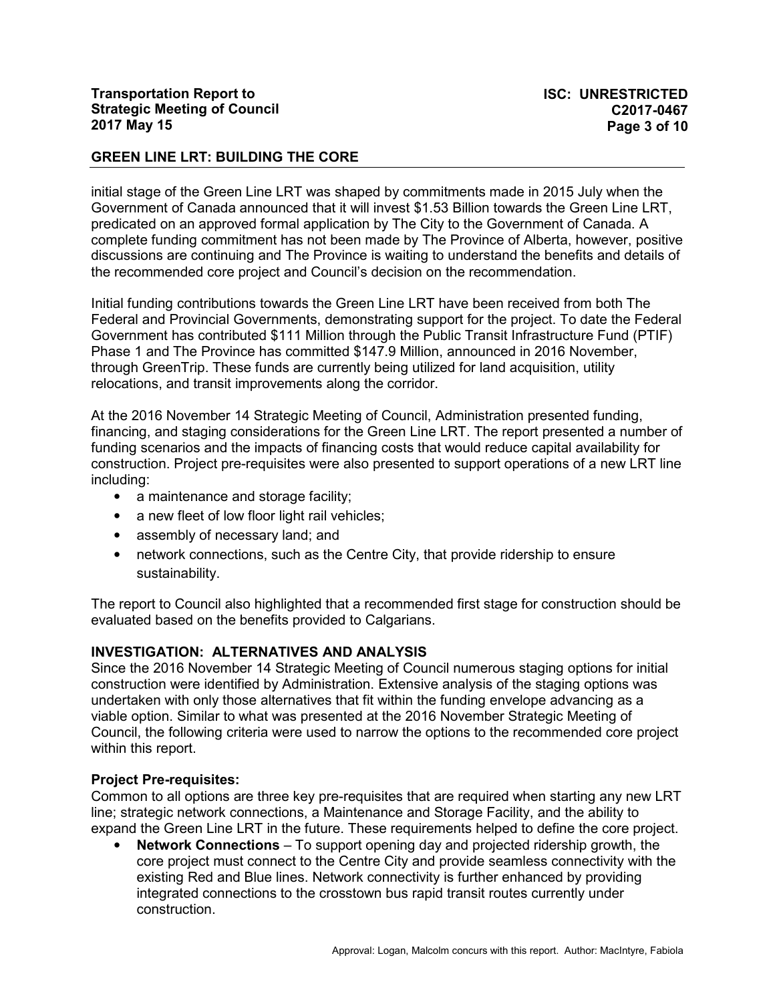initial stage of the Green Line LRT was shaped by commitments made in 2015 July when the Government of Canada announced that it will invest \$1.53 Billion towards the Green Line LRT, predicated on an approved formal application by The City to the Government of Canada. A complete funding commitment has not been made by The Province of Alberta, however, positive discussions are continuing and The Province is waiting to understand the benefits and details of the recommended core project and Council's decision on the recommendation.

Initial funding contributions towards the Green Line LRT have been received from both The Federal and Provincial Governments, demonstrating support for the project. To date the Federal Government has contributed \$111 Million through the Public Transit Infrastructure Fund (PTIF) Phase 1 and The Province has committed \$147.9 Million, announced in 2016 November, through GreenTrip. These funds are currently being utilized for land acquisition, utility relocations, and transit improvements along the corridor.

At the 2016 November 14 Strategic Meeting of Council, Administration presented funding, financing, and staging considerations for the Green Line LRT. The report presented a number of funding scenarios and the impacts of financing costs that would reduce capital availability for construction. Project pre-requisites were also presented to support operations of a new LRT line including:

- a maintenance and storage facility;
- a new fleet of low floor light rail vehicles;
- assembly of necessary land; and
- network connections, such as the Centre City, that provide ridership to ensure sustainability.

The report to Council also highlighted that a recommended first stage for construction should be evaluated based on the benefits provided to Calgarians.

### **INVESTIGATION: ALTERNATIVES AND ANALYSIS**

Since the 2016 November 14 Strategic Meeting of Council numerous staging options for initial construction were identified by Administration. Extensive analysis of the staging options was undertaken with only those alternatives that fit within the funding envelope advancing as a viable option. Similar to what was presented at the 2016 November Strategic Meeting of Council, the following criteria were used to narrow the options to the recommended core project within this report.

### **Project Pre-requisites:**

Common to all options are three key pre-requisites that are required when starting any new LRT line; strategic network connections, a Maintenance and Storage Facility, and the ability to expand the Green Line LRT in the future. These requirements helped to define the core project.

• **Network Connections** – To support opening day and projected ridership growth, the core project must connect to the Centre City and provide seamless connectivity with the existing Red and Blue lines. Network connectivity is further enhanced by providing integrated connections to the crosstown bus rapid transit routes currently under construction.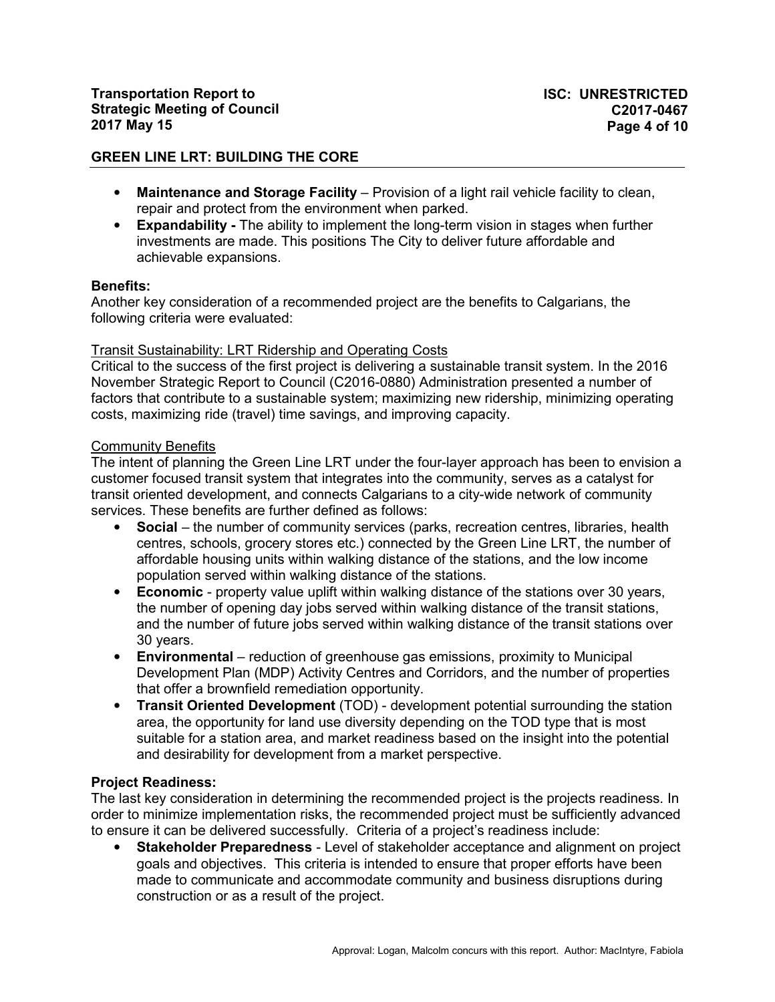- **Maintenance and Storage Facility**  Provision of a light rail vehicle facility to clean, repair and protect from the environment when parked.
- **Expandability** The ability to implement the long-term vision in stages when further investments are made. This positions The City to deliver future affordable and achievable expansions.

### **Benefits:**

Another key consideration of a recommended project are the benefits to Calgarians, the following criteria were evaluated:

#### Transit Sustainability: LRT Ridership and Operating Costs

Critical to the success of the first project is delivering a sustainable transit system. In the 2016 November Strategic Report to Council (C2016-0880) Administration presented a number of factors that contribute to a sustainable system; maximizing new ridership, minimizing operating costs, maximizing ride (travel) time savings, and improving capacity.

### Community Benefits

The intent of planning the Green Line LRT under the four-layer approach has been to envision a customer focused transit system that integrates into the community, serves as a catalyst for transit oriented development, and connects Calgarians to a city-wide network of community services. These benefits are further defined as follows:

- **Social** the number of community services (parks, recreation centres, libraries, health centres, schools, grocery stores etc.) connected by the Green Line LRT, the number of affordable housing units within walking distance of the stations, and the low income population served within walking distance of the stations.
- **Economic** property value uplift within walking distance of the stations over 30 years, the number of opening day jobs served within walking distance of the transit stations, and the number of future jobs served within walking distance of the transit stations over 30 years.
- **Environmental** reduction of greenhouse gas emissions, proximity to Municipal Development Plan (MDP) Activity Centres and Corridors, and the number of properties that offer a brownfield remediation opportunity.
- **Transit Oriented Development** (TOD) development potential surrounding the station area, the opportunity for land use diversity depending on the TOD type that is most suitable for a station area, and market readiness based on the insight into the potential and desirability for development from a market perspective.

# **Project Readiness:**

The last key consideration in determining the recommended project is the projects readiness. In order to minimize implementation risks, the recommended project must be sufficiently advanced to ensure it can be delivered successfully. Criteria of a project's readiness include:

• **Stakeholder Preparedness** - Level of stakeholder acceptance and alignment on project goals and objectives. This criteria is intended to ensure that proper efforts have been made to communicate and accommodate community and business disruptions during construction or as a result of the project.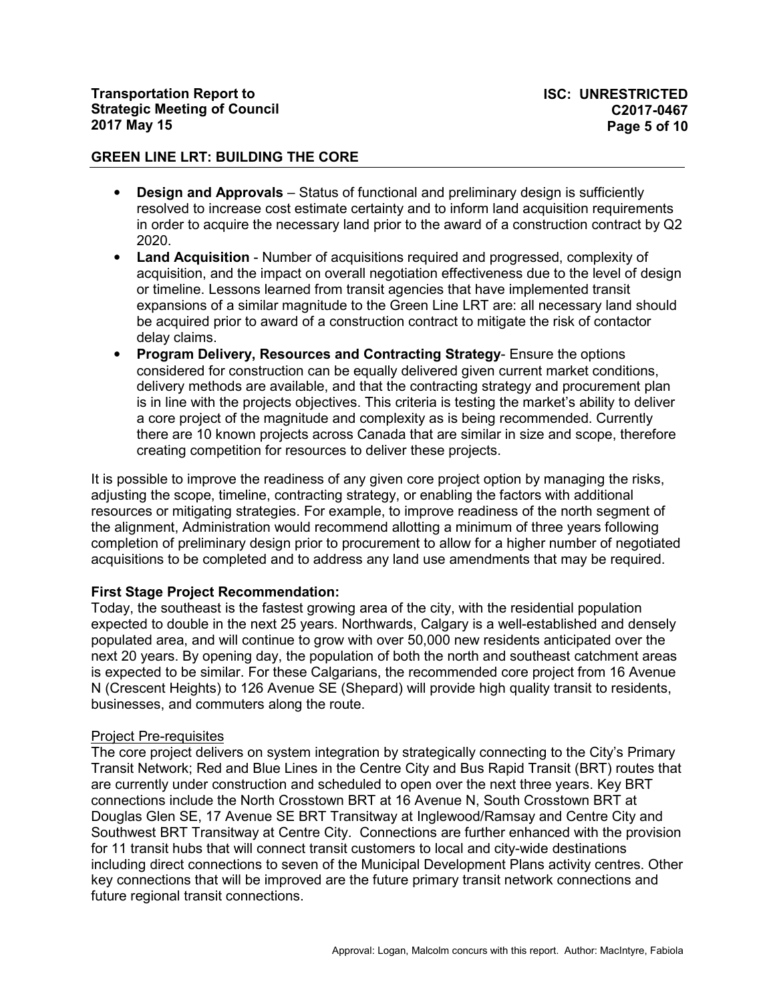- **Design and Approvals** Status of functional and preliminary design is sufficiently resolved to increase cost estimate certainty and to inform land acquisition requirements in order to acquire the necessary land prior to the award of a construction contract by Q2 2020.
- **Land Acquisition** Number of acquisitions required and progressed, complexity of acquisition, and the impact on overall negotiation effectiveness due to the level of design or timeline. Lessons learned from transit agencies that have implemented transit expansions of a similar magnitude to the Green Line LRT are: all necessary land should be acquired prior to award of a construction contract to mitigate the risk of contactor delay claims.
- **Program Delivery, Resources and Contracting Strategy** Ensure the options considered for construction can be equally delivered given current market conditions, delivery methods are available, and that the contracting strategy and procurement plan is in line with the projects objectives. This criteria is testing the market's ability to deliver a core project of the magnitude and complexity as is being recommended. Currently there are 10 known projects across Canada that are similar in size and scope, therefore creating competition for resources to deliver these projects.

It is possible to improve the readiness of any given core project option by managing the risks, adjusting the scope, timeline, contracting strategy, or enabling the factors with additional resources or mitigating strategies. For example, to improve readiness of the north segment of the alignment, Administration would recommend allotting a minimum of three years following completion of preliminary design prior to procurement to allow for a higher number of negotiated acquisitions to be completed and to address any land use amendments that may be required.

# **First Stage Project Recommendation:**

Today, the southeast is the fastest growing area of the city, with the residential population expected to double in the next 25 years. Northwards, Calgary is a well-established and densely populated area, and will continue to grow with over 50,000 new residents anticipated over the next 20 years. By opening day, the population of both the north and southeast catchment areas is expected to be similar. For these Calgarians, the recommended core project from 16 Avenue N (Crescent Heights) to 126 Avenue SE (Shepard) will provide high quality transit to residents, businesses, and commuters along the route.

### Project Pre-requisites

The core project delivers on system integration by strategically connecting to the City's Primary Transit Network; Red and Blue Lines in the Centre City and Bus Rapid Transit (BRT) routes that are currently under construction and scheduled to open over the next three years. Key BRT connections include the North Crosstown BRT at 16 Avenue N, South Crosstown BRT at Douglas Glen SE, 17 Avenue SE BRT Transitway at Inglewood/Ramsay and Centre City and Southwest BRT Transitway at Centre City. Connections are further enhanced with the provision for 11 transit hubs that will connect transit customers to local and city-wide destinations including direct connections to seven of the Municipal Development Plans activity centres. Other key connections that will be improved are the future primary transit network connections and future regional transit connections.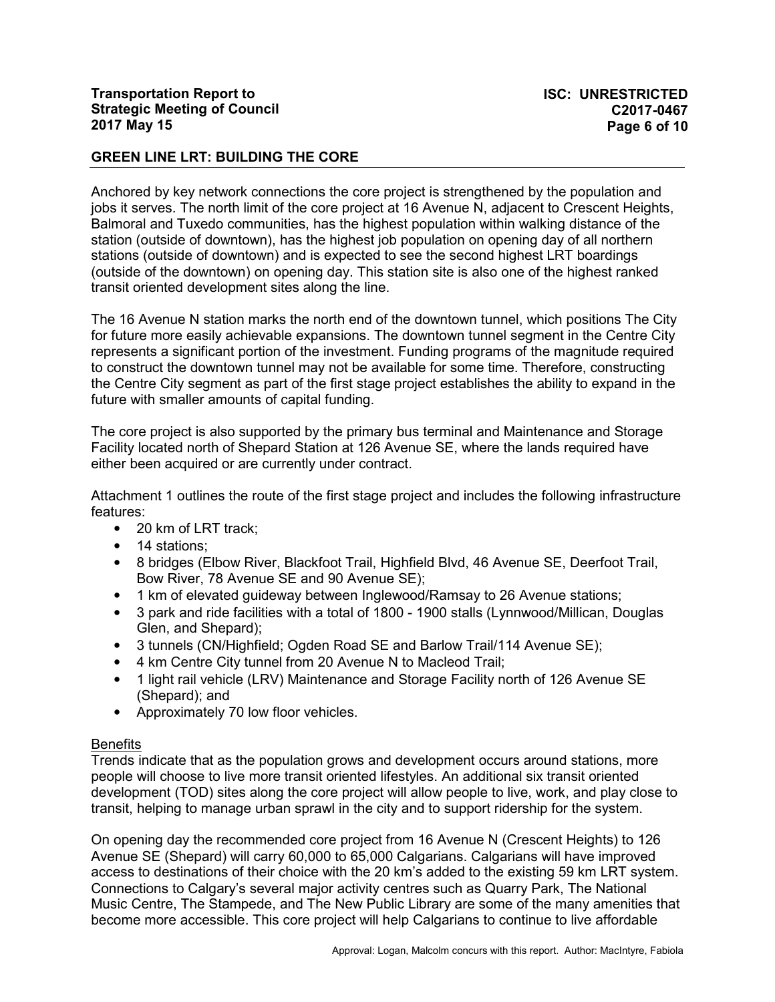Anchored by key network connections the core project is strengthened by the population and jobs it serves. The north limit of the core project at 16 Avenue N, adjacent to Crescent Heights, Balmoral and Tuxedo communities, has the highest population within walking distance of the station (outside of downtown), has the highest job population on opening day of all northern stations (outside of downtown) and is expected to see the second highest LRT boardings (outside of the downtown) on opening day. This station site is also one of the highest ranked transit oriented development sites along the line.

The 16 Avenue N station marks the north end of the downtown tunnel, which positions The City for future more easily achievable expansions. The downtown tunnel segment in the Centre City represents a significant portion of the investment. Funding programs of the magnitude required to construct the downtown tunnel may not be available for some time. Therefore, constructing the Centre City segment as part of the first stage project establishes the ability to expand in the future with smaller amounts of capital funding.

The core project is also supported by the primary bus terminal and Maintenance and Storage Facility located north of Shepard Station at 126 Avenue SE, where the lands required have either been acquired or are currently under contract.

Attachment 1 outlines the route of the first stage project and includes the following infrastructure features:

- 20 km of LRT track;
- 14 stations:
- 8 bridges (Elbow River, Blackfoot Trail, Highfield Blvd, 46 Avenue SE, Deerfoot Trail, Bow River, 78 Avenue SE and 90 Avenue SE);
- 1 km of elevated guideway between Inglewood/Ramsay to 26 Avenue stations;
- 3 park and ride facilities with a total of 1800 1900 stalls (Lynnwood/Millican, Douglas Glen, and Shepard);
- 3 tunnels (CN/Highfield; Ogden Road SE and Barlow Trail/114 Avenue SE);
- 4 km Centre City tunnel from 20 Avenue N to Macleod Trail;
- 1 light rail vehicle (LRV) Maintenance and Storage Facility north of 126 Avenue SE (Shepard); and
- Approximately 70 low floor vehicles.

### **Benefits**

Trends indicate that as the population grows and development occurs around stations, more people will choose to live more transit oriented lifestyles. An additional six transit oriented development (TOD) sites along the core project will allow people to live, work, and play close to transit, helping to manage urban sprawl in the city and to support ridership for the system.

On opening day the recommended core project from 16 Avenue N (Crescent Heights) to 126 Avenue SE (Shepard) will carry 60,000 to 65,000 Calgarians. Calgarians will have improved access to destinations of their choice with the 20 km's added to the existing 59 km LRT system. Connections to Calgary's several major activity centres such as Quarry Park, The National Music Centre, The Stampede, and The New Public Library are some of the many amenities that become more accessible. This core project will help Calgarians to continue to live affordable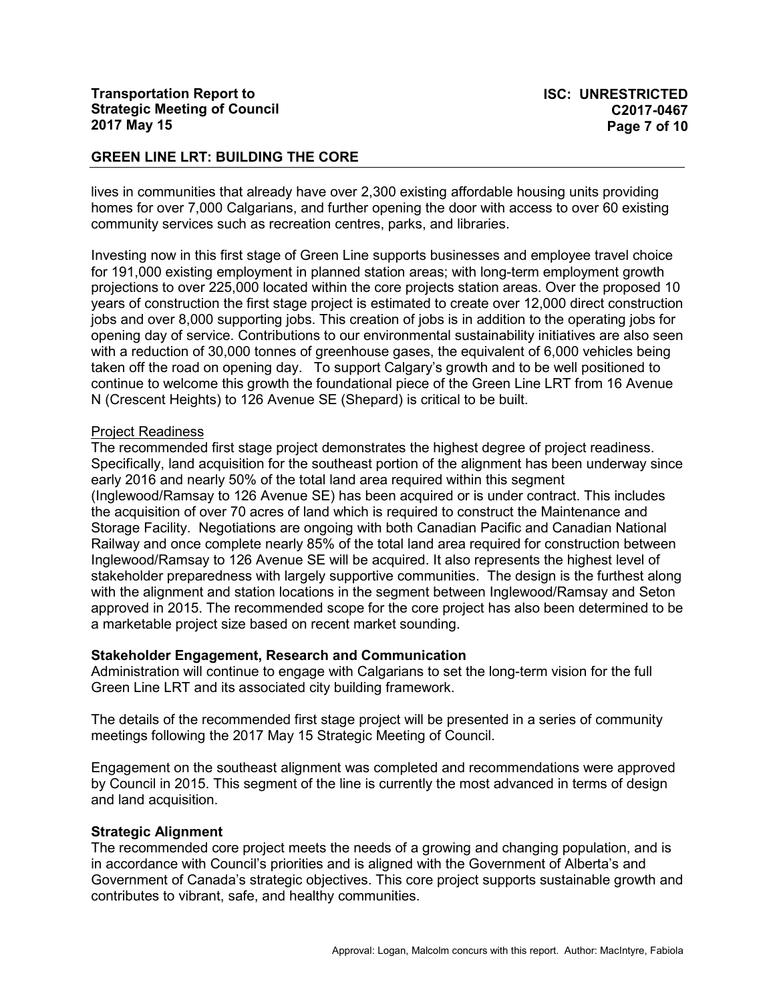lives in communities that already have over 2,300 existing affordable housing units providing homes for over 7,000 Calgarians, and further opening the door with access to over 60 existing community services such as recreation centres, parks, and libraries.

Investing now in this first stage of Green Line supports businesses and employee travel choice for 191,000 existing employment in planned station areas; with long-term employment growth projections to over 225,000 located within the core projects station areas. Over the proposed 10 years of construction the first stage project is estimated to create over 12,000 direct construction jobs and over 8,000 supporting jobs. This creation of jobs is in addition to the operating jobs for opening day of service. Contributions to our environmental sustainability initiatives are also seen with a reduction of 30,000 tonnes of greenhouse gases, the equivalent of 6,000 vehicles being taken off the road on opening day. To support Calgary's growth and to be well positioned to continue to welcome this growth the foundational piece of the Green Line LRT from 16 Avenue N (Crescent Heights) to 126 Avenue SE (Shepard) is critical to be built.

#### Project Readiness

The recommended first stage project demonstrates the highest degree of project readiness. Specifically, land acquisition for the southeast portion of the alignment has been underway since early 2016 and nearly 50% of the total land area required within this segment (Inglewood/Ramsay to 126 Avenue SE) has been acquired or is under contract. This includes the acquisition of over 70 acres of land which is required to construct the Maintenance and Storage Facility. Negotiations are ongoing with both Canadian Pacific and Canadian National Railway and once complete nearly 85% of the total land area required for construction between Inglewood/Ramsay to 126 Avenue SE will be acquired. It also represents the highest level of stakeholder preparedness with largely supportive communities. The design is the furthest along with the alignment and station locations in the segment between Inglewood/Ramsay and Seton approved in 2015. The recommended scope for the core project has also been determined to be a marketable project size based on recent market sounding.

### **Stakeholder Engagement, Research and Communication**

Administration will continue to engage with Calgarians to set the long-term vision for the full Green Line LRT and its associated city building framework.

The details of the recommended first stage project will be presented in a series of community meetings following the 2017 May 15 Strategic Meeting of Council.

Engagement on the southeast alignment was completed and recommendations were approved by Council in 2015. This segment of the line is currently the most advanced in terms of design and land acquisition.

#### **Strategic Alignment**

The recommended core project meets the needs of a growing and changing population, and is in accordance with Council's priorities and is aligned with the Government of Alberta's and Government of Canada's strategic objectives. This core project supports sustainable growth and contributes to vibrant, safe, and healthy communities.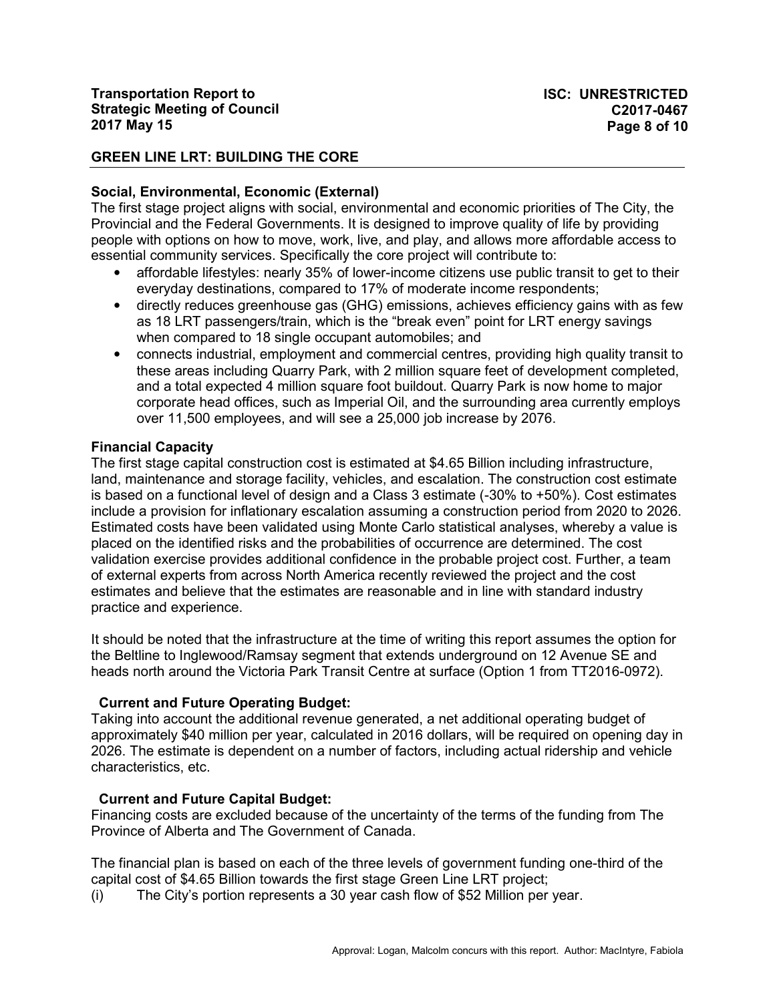# **Social, Environmental, Economic (External)**

The first stage project aligns with social, environmental and economic priorities of The City, the Provincial and the Federal Governments. It is designed to improve quality of life by providing people with options on how to move, work, live, and play, and allows more affordable access to essential community services. Specifically the core project will contribute to:

- affordable lifestyles: nearly 35% of lower-income citizens use public transit to get to their everyday destinations, compared to 17% of moderate income respondents;
- directly reduces greenhouse gas (GHG) emissions, achieves efficiency gains with as few as 18 LRT passengers/train, which is the "break even" point for LRT energy savings when compared to 18 single occupant automobiles; and
- connects industrial, employment and commercial centres, providing high quality transit to these areas including Quarry Park, with 2 million square feet of development completed, and a total expected 4 million square foot buildout. Quarry Park is now home to major corporate head offices, such as Imperial Oil, and the surrounding area currently employs over 11,500 employees, and will see a 25,000 job increase by 2076.

# **Financial Capacity**

The first stage capital construction cost is estimated at \$4.65 Billion including infrastructure, land, maintenance and storage facility, vehicles, and escalation. The construction cost estimate is based on a functional level of design and a Class 3 estimate (-30% to +50%). Cost estimates include a provision for inflationary escalation assuming a construction period from 2020 to 2026. Estimated costs have been validated using Monte Carlo statistical analyses, whereby a value is placed on the identified risks and the probabilities of occurrence are determined. The cost validation exercise provides additional confidence in the probable project cost. Further, a team of external experts from across North America recently reviewed the project and the cost estimates and believe that the estimates are reasonable and in line with standard industry practice and experience.

It should be noted that the infrastructure at the time of writing this report assumes the option for the Beltline to Inglewood/Ramsay segment that extends underground on 12 Avenue SE and heads north around the Victoria Park Transit Centre at surface (Option 1 from TT2016-0972).

# **Current and Future Operating Budget:**

Taking into account the additional revenue generated, a net additional operating budget of approximately \$40 million per year, calculated in 2016 dollars, will be required on opening day in 2026. The estimate is dependent on a number of factors, including actual ridership and vehicle characteristics, etc.

# **Current and Future Capital Budget:**

Financing costs are excluded because of the uncertainty of the terms of the funding from The Province of Alberta and The Government of Canada.

The financial plan is based on each of the three levels of government funding one-third of the capital cost of \$4.65 Billion towards the first stage Green Line LRT project;

(i) The City's portion represents a 30 year cash flow of \$52 Million per year.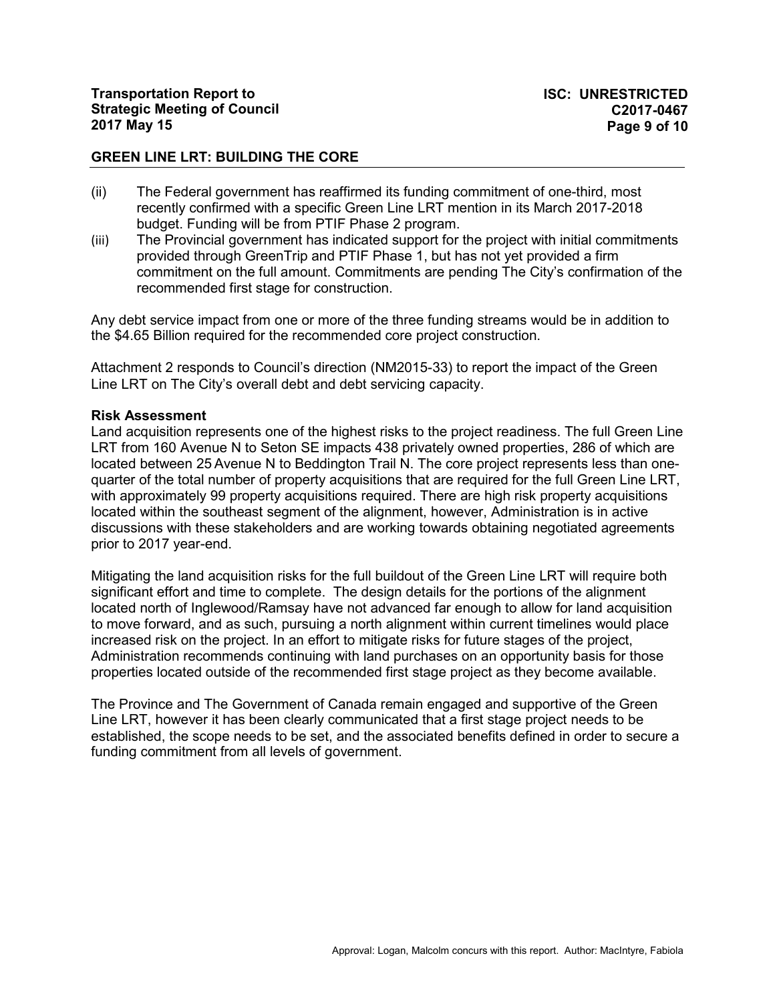- (ii) The Federal government has reaffirmed its funding commitment of one-third, most recently confirmed with a specific Green Line LRT mention in its March 2017-2018 budget. Funding will be from PTIF Phase 2 program.
- (iii) The Provincial government has indicated support for the project with initial commitments provided through GreenTrip and PTIF Phase 1, but has not yet provided a firm commitment on the full amount. Commitments are pending The City's confirmation of the recommended first stage for construction.

Any debt service impact from one or more of the three funding streams would be in addition to the \$4.65 Billion required for the recommended core project construction.

Attachment 2 responds to Council's direction (NM2015-33) to report the impact of the Green Line LRT on The City's overall debt and debt servicing capacity.

#### **Risk Assessment**

Land acquisition represents one of the highest risks to the project readiness. The full Green Line LRT from 160 Avenue N to Seton SE impacts 438 privately owned properties, 286 of which are located between 25 Avenue N to Beddington Trail N. The core project represents less than onequarter of the total number of property acquisitions that are required for the full Green Line LRT, with approximately 99 property acquisitions required. There are high risk property acquisitions located within the southeast segment of the alignment, however, Administration is in active discussions with these stakeholders and are working towards obtaining negotiated agreements prior to 2017 year-end.

Mitigating the land acquisition risks for the full buildout of the Green Line LRT will require both significant effort and time to complete. The design details for the portions of the alignment located north of Inglewood/Ramsay have not advanced far enough to allow for land acquisition to move forward, and as such, pursuing a north alignment within current timelines would place increased risk on the project. In an effort to mitigate risks for future stages of the project, Administration recommends continuing with land purchases on an opportunity basis for those properties located outside of the recommended first stage project as they become available.

The Province and The Government of Canada remain engaged and supportive of the Green Line LRT, however it has been clearly communicated that a first stage project needs to be established, the scope needs to be set, and the associated benefits defined in order to secure a funding commitment from all levels of government.